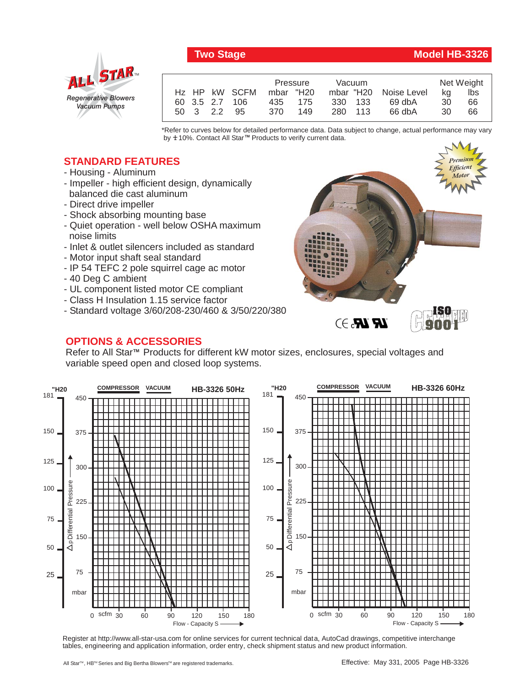## *Regenerative Blowers Vacuum Pumps* ALL STAR

|                | Pressure  |     | Vacuum  |  |                       | Net Weight |     |
|----------------|-----------|-----|---------|--|-----------------------|------------|-----|
| Hz HP kW SCFM  | mbar "H20 |     |         |  | mbar "H20 Noise Level | ka         | lbs |
| 60 3.5 2.7 106 | 435 175   |     | 330 133 |  | 69 dbA                | 30         | 66  |
| 50 3 2.2 95    | 370       | 149 | 280 113 |  | 66 dbA                | 30         | 66  |

\*Refer to curves below for detailed performance data. Data subject to change, actual performance may vary by **+** 10%. Contact All Star™ Products to verify current data.

## **STANDARD FEATURES**

- Housing Aluminum
- Impeller high efficient design, dynamically balanced die cast aluminum
- Direct drive impeller
- Shock absorbing mounting base
- Quiet operation well below OSHA maximum noise limits
- Inlet & outlet silencers included as standard
- Motor input shaft seal standard
- IP 54 TEFC 2 pole squirrel cage ac motor
- 40 Deg C ambient
- UL component listed motor CE compliant
- Class H Insulation 1.15 service factor
- Standard voltage 3/60/208-230/460 & 3/50/220/380

## **OPTIONS & ACCESSORIES**

*Premium Premium Efficient Efficient Motor Motor* **ISO 9001**  $\mathbb{R}$   $\mathbb{R}$ . $\ni$ 

Refer to All Star<sup>™</sup> Products for different kW motor sizes, enclosures, special voltages and variable speed open and closed loop systems.



Register at http://www.all-star-usa.com for online services for current technical data, AutoCad drawings, competitive interchange tables, engineering and application information, order entry, check shipment status and new product information.

## **Two Stage Model HB-3326**